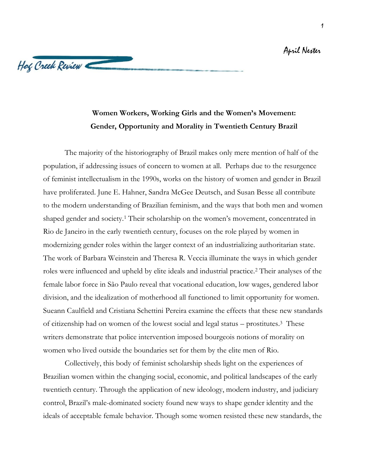## April Nester



## **Women Workers, Working Girls and the Women's Movement: Gender, Opportunity and Morality in Twentieth Century Brazil**

The majority of the historiography of Brazil makes only mere mention of half of the population, if addressing issues of concern to women at all. Perhaps due to the resurgence of feminist intellectualism in the 1990s, works on the history of women and gender in Brazil have proliferated. June E. Hahner, Sandra McGee Deutsch, and Susan Besse all contribute to the modern understanding of Brazilian feminism, and the ways that both men and women shaped gender and society.<sup>1</sup> Their scholarship on the women's movement, concentrated in Rio de Janeiro in the early twentieth century, focuses on the role played by women in modernizing gender roles within the larger context of an industrializing authoritarian state. The work of Barbara Weinstein and Theresa R. Veccia illuminate the ways in which gender roles were influenced and upheld by elite ideals and industrial practice.<sup>2</sup> Their analyses of the female labor force in São Paulo reveal that vocational education, low wages, gendered labor division, and the idealization of motherhood all functioned to limit opportunity for women. Sueann Caulfield and Cristiana Schettini Pereira examine the effects that these new standards of citizenship had on women of the lowest social and legal status – prostitutes.3 These writers demonstrate that police intervention imposed bourgeois notions of morality on women who lived outside the boundaries set for them by the elite men of Rio.

Collectively, this body of feminist scholarship sheds light on the experiences of Brazilian women within the changing social, economic, and political landscapes of the early twentieth century. Through the application of new ideology, modern industry, and judiciary control, Brazil's male-dominated society found new ways to shape gender identity and the ideals of acceptable female behavior. Though some women resisted these new standards, the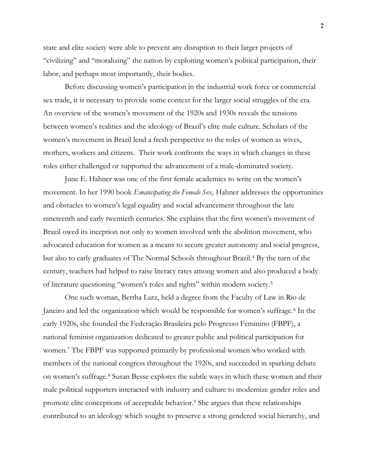state and elite society were able to prevent any disruption to their larger projects of "civilizing" and "moralizing" the nation by exploiting women's political participation, their labor, and perhaps most importantly, their bodies.

Before discussing women's participation in the industrial work force or commercial sex trade, it is necessary to provide some context for the larger social struggles of the era. An overview of the women's movement of the 1920s and 1930s reveals the tensions between women's realities and the ideology of Brazil's elite male culture. Scholars of the women's movement in Brazil lend a fresh perspective to the roles of women as wives, mothers, workers and citizens. Their work confronts the ways in which changes in these roles either challenged or supported the advancement of a male-dominated society.

June E. Hahner was one of the first female academics to write on the women's movement. In her 1990 book *Emancipating the Female Sex,* Hahner addresses the opportunities and obstacles to women's legal equality and social advancement throughout the late nineteenth and early twentieth centuries. She explains that the first women's movement of Brazil owed its inception not only to women involved with the abolition movement, who advocated education for women as a means to secure greater autonomy and social progress, but also to early graduates of The Normal Schools throughout Brazil.<sup>4</sup> By the turn of the century, teachers had helped to raise literacy rates among women and also produced a body of literature questioning "women's roles and rights" within modern society.<sup>5</sup>

One such woman, Bertha Lutz, held a degree from the Faculty of Law in Rio de Janeiro and led the organization which would be responsible for women's suffrage.<sup>6</sup> In the early 1920s, she founded the Federação Brasileira pelo Progresso Feminino (FBPF), a national feminist organization dedicated to greater public and political participation for women.<sup>7</sup> The FBPF was supported primarily by professional women who worked with members of the national congress throughout the 1920s, and succeeded in sparking debate on women's suffrage.<sup>8</sup> Susan Besse explores the subtle ways in which these women and their male political supporters interacted with industry and culture to modernize gender roles and promote elite conceptions of acceptable behavior.<sup>9</sup> She argues that these relationships contributed to an ideology which sought to preserve a strong gendered social hierarchy, and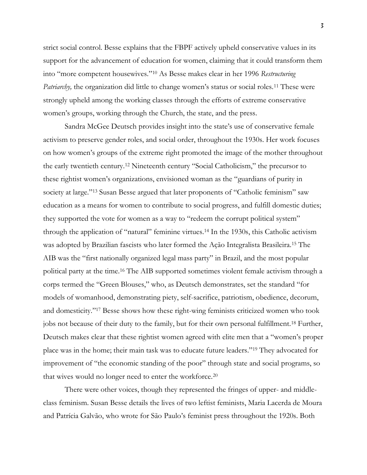strict social control. Besse explains that the FBPF actively upheld conservative values in its support for the advancement of education for women, claiming that it could transform them into "more competent housewives."<sup>10</sup> As Besse makes clear in her 1996 *Restructuring Patriarchy*, the organization did little to change women's status or social roles.<sup>11</sup> These were strongly upheld among the working classes through the efforts of extreme conservative women's groups, working through the Church, the state, and the press.

Sandra McGee Deutsch provides insight into the state's use of conservative female activism to preserve gender roles, and social order, throughout the 1930s. Her work focuses on how women's groups of the extreme right promoted the image of the mother throughout the early twentieth century.<sup>12</sup> Nineteenth century "Social Catholicism," the precursor to these rightist women's organizations, envisioned woman as the "guardians of purity in society at large."<sup>13</sup> Susan Besse argued that later proponents of "Catholic feminism" saw education as a means for women to contribute to social progress, and fulfill domestic duties; they supported the vote for women as a way to "redeem the corrupt political system" through the application of "natural" feminine virtues.<sup>14</sup> In the 1930s, this Catholic activism was adopted by Brazilian fascists who later formed the Ação Integralista Brasileira.<sup>15</sup> The AIB was the "first nationally organized legal mass party" in Brazil, and the most popular political party at the time.<sup>16</sup> The AIB supported sometimes violent female activism through a corps termed the "Green Blouses," who, as Deutsch demonstrates, set the standard "for models of womanhood, demonstrating piety, self-sacrifice, patriotism, obedience, decorum, and domesticity."<sup>17</sup> Besse shows how these right-wing feminists criticized women who took jobs not because of their duty to the family, but for their own personal fulfillment.<sup>18</sup> Further, Deutsch makes clear that these rightist women agreed with elite men that a "women's proper place was in the home; their main task was to educate future leaders."<sup>19</sup> They advocated for improvement of "the economic standing of the poor" through state and social programs, so that wives would no longer need to enter the workforce.<sup>20</sup>

There were other voices, though they represented the fringes of upper- and middleclass feminism. Susan Besse details the lives of two leftist feminists, Maria Lacerda de Moura and Patrícia Galvão, who wrote for São Paulo's feminist press throughout the 1920s. Both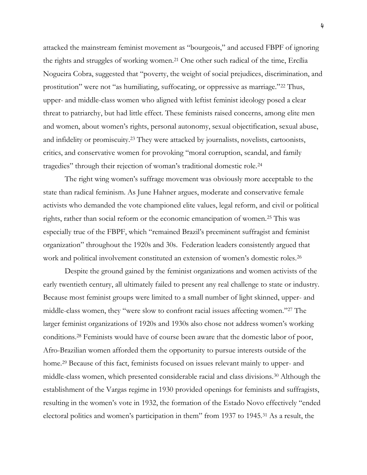attacked the mainstream feminist movement as "bourgeois," and accused FBPF of ignoring the rights and struggles of working women.<sup>21</sup> One other such radical of the time, Ercília Nogueira Cobra, suggested that "poverty, the weight of social prejudices, discrimination, and prostitution" were not "as humiliating, suffocating, or oppressive as marriage."<sup>22</sup> Thus, upper- and middle-class women who aligned with leftist feminist ideology posed a clear threat to patriarchy, but had little effect. These feminists raised concerns, among elite men and women, about women's rights, personal autonomy, sexual objectification, sexual abuse, and infidelity or promiscuity.<sup>23</sup> They were attacked by journalists, novelists, cartoonists, critics, and conservative women for provoking "moral corruption, scandal, and family tragedies" through their rejection of woman's traditional domestic role.<sup>24</sup>

The right wing women's suffrage movement was obviously more acceptable to the state than radical feminism. As June Hahner argues, moderate and conservative female activists who demanded the vote championed elite values, legal reform, and civil or political rights, rather than social reform or the economic emancipation of women.<sup>25</sup> This was especially true of the FBPF, which "remained Brazil's preeminent suffragist and feminist organization" throughout the 1920s and 30s. Federation leaders consistently argued that work and political involvement constituted an extension of women's domestic roles.<sup>26</sup>

Despite the ground gained by the feminist organizations and women activists of the early twentieth century, all ultimately failed to present any real challenge to state or industry. Because most feminist groups were limited to a small number of light skinned, upper- and middle-class women, they "were slow to confront racial issues affecting women."<sup>27</sup> The larger feminist organizations of 1920s and 1930s also chose not address women's working conditions.<sup>28</sup> Feminists would have of course been aware that the domestic labor of poor, Afro-Brazilian women afforded them the opportunity to pursue interests outside of the home.<sup>29</sup> Because of this fact, feminists focused on issues relevant mainly to upper- and middle-class women, which presented considerable racial and class divisions.<sup>30</sup> Although the establishment of the Vargas regime in 1930 provided openings for feminists and suffragists, resulting in the women's vote in 1932, the formation of the Estado Novo effectively "ended electoral politics and women's participation in them" from 1937 to 1945.<sup>31</sup> As a result, the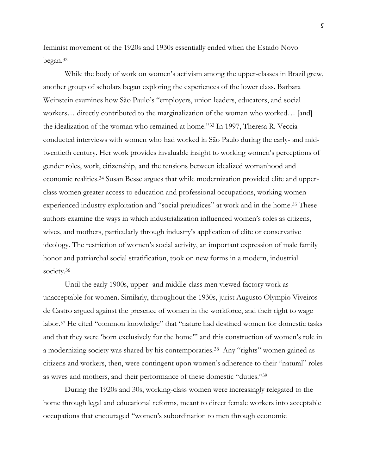feminist movement of the 1920s and 1930s essentially ended when the Estado Novo began.<sup>32</sup>

While the body of work on women's activism among the upper-classes in Brazil grew, another group of scholars began exploring the experiences of the lower class. Barbara Weinstein examines how São Paulo's "employers, union leaders, educators, and social workers... directly contributed to the marginalization of the woman who worked... [and] the idealization of the woman who remained at home."<sup>33</sup> In 1997, Theresa R. Veccia conducted interviews with women who had worked in São Paulo during the early- and midtwentieth century. Her work provides invaluable insight to working women's perceptions of gender roles, work, citizenship, and the tensions between idealized womanhood and economic realities.<sup>34</sup> Susan Besse argues that while modernization provided elite and upperclass women greater access to education and professional occupations, working women experienced industry exploitation and "social prejudices" at work and in the home.<sup>35</sup> These authors examine the ways in which industrialization influenced women's roles as citizens, wives, and mothers, particularly through industry's application of elite or conservative ideology. The restriction of women's social activity, an important expression of male family honor and patriarchal social stratification, took on new forms in a modern, industrial society.<sup>36</sup>

Until the early 1900s, upper- and middle-class men viewed factory work as unacceptable for women. Similarly, throughout the 1930s, jurist Augusto Olympio Viveiros de Castro argued against the presence of women in the workforce, and their right to wage labor.<sup>37</sup> He cited "common knowledge" that "nature had destined women for domestic tasks and that they were 'born exclusively for the home'" and this construction of women's role in a modernizing society was shared by his contemporaries.<sup>38</sup> Any "rights" women gained as citizens and workers, then, were contingent upon women's adherence to their "natural" roles as wives and mothers, and their performance of these domestic "duties."<sup>39</sup>

During the 1920s and 30s, working-class women were increasingly relegated to the home through legal and educational reforms, meant to direct female workers into acceptable occupations that encouraged "women's subordination to men through economic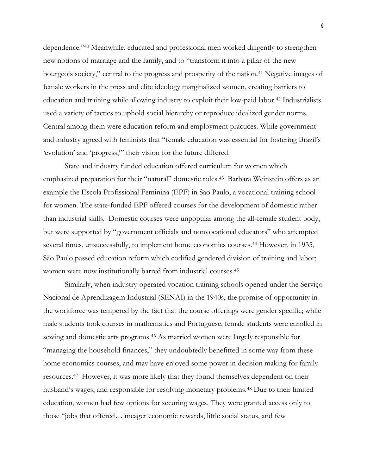dependence."<sup>40</sup> Meanwhile, educated and professional men worked diligently to strengthen new notions of marriage and the family, and to "transform it into a pillar of the new bourgeois society," central to the progress and prosperity of the nation.<sup>41</sup> Negative images of female workers in the press and elite ideology marginalized women, creating barriers to education and training while allowing industry to exploit their low-paid labor.<sup>42</sup> Industrialists used a variety of tactics to uphold social hierarchy or reproduce idealized gender norms. Central among them were education reform and employment practices. While government and industry agreed with feminists that "female education was essential for fostering Brazil's 'evolution' and 'progress,'" their vision for the future differed.

State and industry funded education offered curriculum for women which emphasized preparation for their "natural" domestic roles.43 Barbara Weinstein offers as an example the Escola Profissional Feminina (EPF) in São Paulo, a vocational training school for women. The state-funded EPF offered courses for the development of domestic rather than industrial skills. Domestic courses were unpopular among the all-female student body, but were supported by "government officials and nonvocational educators" who attempted several times, unsuccessfully, to implement home economics courses.<sup>44</sup> However, in 1935, São Paulo passed education reform which codified gendered division of training and labor; women were now institutionally barred from industrial courses.<sup>45</sup>

Similarly, when industry-operated vocation training schools opened under the Serviço Nacional de Aprendizagem Industrial (SENAI) in the 1940s, the promise of opportunity in the workforce was tempered by the fact that the course offerings were gender specific; while male students took courses in mathematics and Portuguese, female students were enrolled in sewing and domestic arts programs.<sup>46</sup> As married women were largely responsible for "managing the household finances," they undoubtedly benefitted in some way from these home economics courses, and may have enjoyed some power in decision making for family resources.47 However, it was more likely that they found themselves dependent on their husband's wages, and responsible for resolving monetary problems.<sup>48</sup> Due to their limited education, women had few options for securing wages. They were granted access only to those "jobs that offered… meager economic rewards, little social status, and few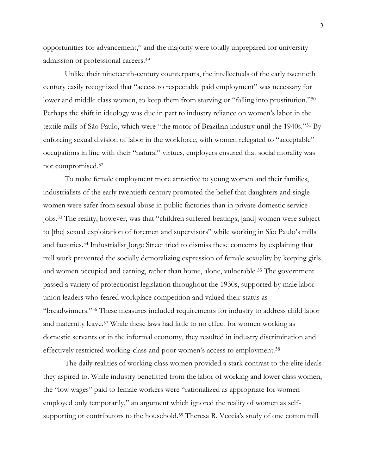opportunities for advancement," and the majority were totally unprepared for university admission or professional careers.<sup>49</sup>

Unlike their nineteenth-century counterparts, the intellectuals of the early twentieth century easily recognized that "access to respectable paid employment" was necessary for lower and middle class women, to keep them from starving or "falling into prostitution."<sup>50</sup> Perhaps the shift in ideology was due in part to industry reliance on women's labor in the textile mills of São Paulo, which were "the motor of Brazilian industry until the 1940s."<sup>51</sup> By enforcing sexual division of labor in the workforce, with women relegated to "acceptable" occupations in line with their "natural" virtues, employers ensured that social morality was not compromised.<sup>52</sup>

To make female employment more attractive to young women and their families, industrialists of the early twentieth century promoted the belief that daughters and single women were safer from sexual abuse in public factories than in private domestic service jobs.<sup>53</sup> The reality, however, was that "children suffered beatings, [and] women were subject to [the] sexual exploitation of foremen and supervisors" while working in São Paulo's mills and factories.<sup>54</sup> Industrialist Jorge Street tried to dismiss these concerns by explaining that mill work prevented the socially demoralizing expression of female sexuality by keeping girls and women occupied and earning, rather than home, alone, vulnerable.<sup>55</sup> The government passed a variety of protectionist legislation throughout the 1930s, supported by male labor union leaders who feared workplace competition and valued their status as "breadwinners."<sup>56</sup> These measures included requirements for industry to address child labor and maternity leave.<sup>57</sup> While these laws had little to no effect for women working as domestic servants or in the informal economy, they resulted in industry discrimination and effectively restricted working-class and poor women's access to employment.<sup>58</sup>

The daily realities of working class women provided a stark contrast to the elite ideals they aspired to. While industry benefitted from the labor of working and lower class women, the "low wages" paid to female workers were "rationalized as appropriate for women employed only temporarily," an argument which ignored the reality of women as selfsupporting or contributors to the household.<sup>59</sup> Theresa R. Veccia's study of one cotton mill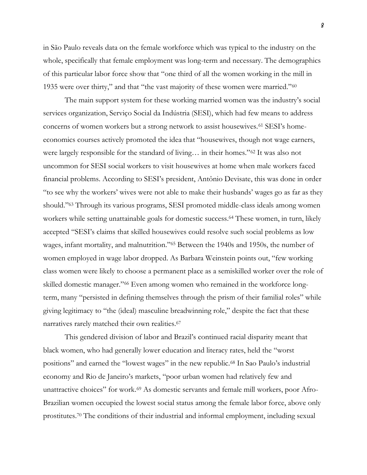in São Paulo reveals data on the female workforce which was typical to the industry on the whole, specifically that female employment was long-term and necessary. The demographics of this particular labor force show that "one third of all the women working in the mill in 1935 were over thirty," and that "the vast majority of these women were married."<sup>60</sup>

The main support system for these working married women was the industry's social services organization, Serviço Social da Indústria (SESI), which had few means to address concerns of women workers but a strong network to assist housewives.<sup>61</sup> SESI's homeeconomics courses actively promoted the idea that "housewives, though not wage earners, were largely responsible for the standard of living… in their homes."<sup>62</sup> It was also not uncommon for SESI social workers to visit housewives at home when male workers faced financial problems. According to SESI's president, Antônio Devisate, this was done in order "to see why the workers' wives were not able to make their husbands' wages go as far as they should."<sup>63</sup> Through its various programs, SESI promoted middle-class ideals among women workers while setting unattainable goals for domestic success.<sup>64</sup> These women, in turn, likely accepted "SESI's claims that skilled housewives could resolve such social problems as low wages, infant mortality, and malnutrition."<sup>65</sup> Between the 1940s and 1950s, the number of women employed in wage labor dropped. As Barbara Weinstein points out, "few working class women were likely to choose a permanent place as a semiskilled worker over the role of skilled domestic manager."<sup>66</sup> Even among women who remained in the workforce longterm, many "persisted in defining themselves through the prism of their familial roles" while giving legitimacy to "the (ideal) masculine breadwinning role," despite the fact that these narratives rarely matched their own realities.<sup>67</sup>

This gendered division of labor and Brazil's continued racial disparity meant that black women, who had generally lower education and literacy rates, held the "worst positions" and earned the "lowest wages" in the new republic.<sup>68</sup> In Sao Paulo's industrial economy and Rio de Janeiro's markets, "poor urban women had relatively few and unattractive choices" for work.<sup>69</sup> As domestic servants and female mill workers, poor Afro-Brazilian women occupied the lowest social status among the female labor force, above only prostitutes.<sup>70</sup> The conditions of their industrial and informal employment, including sexual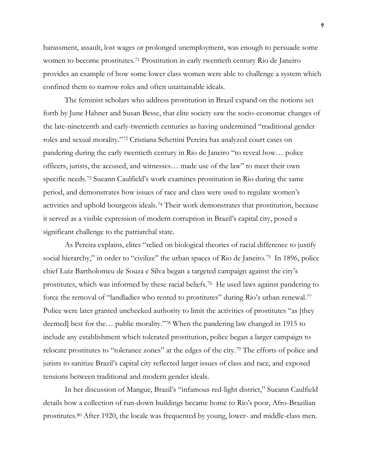harassment, assault, lost wages or prolonged unemployment, was enough to persuade some women to become prostitutes.<sup>71</sup> Prostitution in early twentieth century Rio de Janeiro provides an example of how some lower class women were able to challenge a system which confined them to narrow roles and often unattainable ideals.

The feminist scholars who address prostitution in Brazil expand on the notions set forth by June Hahner and Susan Besse, that elite society saw the socio-economic changes of the late-nineteenth and early-twentieth centuries as having undermined "traditional gender roles and sexual morality."<sup>72</sup> Cristiana Schettini Pereira has analyzed court cases on pandering during the early twentieth century in Rio de Janeiro "to reveal how… police officers, jurists, the accused, and witnesses… made use of the law" to meet their own specific needs.<sup>73</sup> Sueann Caulfield's work examines prostitution in Rio during the same period, and demonstrates how issues of race and class were used to regulate women's activities and uphold bourgeois ideals.<sup>74</sup> Their work demonstrates that prostitution, because it served as a visible expression of modern corruption in Brazil's capital city, posed a significant challenge to the patriarchal state.

As Pereira explains, elites "relied on biological theories of racial difference to justify social hierarchy," in order to "civilize" the urban spaces of Rio de Janeiro.<sup>75</sup> In 1896, police chief Luiz Bartholomeu de Souza e Silva began a targeted campaign against the city's prostitutes, which was informed by these racial beliefs.76 He used laws against pandering to force the removal of "landladies who rented to prostitutes" during Rio's urban renewal.<sup>77</sup> Police were later granted unchecked authority to limit the activities of prostitutes "as [they deemed] best for the… public morality."<sup>78</sup> When the pandering law changed in 1915 to include any establishment which tolerated prostitution, police began a larger campaign to relocate prostitutes to "tolerance zones" at the edges of the city.<sup>79</sup> The efforts of police and jurists to sanitize Brazil's capital city reflected larger issues of class and race, and exposed tensions between traditional and modern gender ideals.

In her discussion of Mangue, Brazil's "infamous red-light district," Sueann Caulfield details how a collection of run-down buildings became home to Rio's poor, Afro-Brazilian prostitutes.<sup>80</sup> After 1920, the locale was frequented by young, lower- and middle-class men.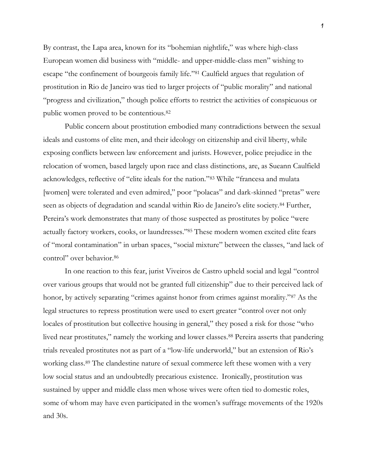By contrast, the Lapa area, known for its "bohemian nightlife," was where high-class European women did business with "middle- and upper-middle-class men" wishing to escape "the confinement of bourgeois family life."<sup>81</sup> Caulfield argues that regulation of prostitution in Rio de Janeiro was tied to larger projects of "public morality" and national "progress and civilization," though police efforts to restrict the activities of conspicuous or public women proved to be contentious.<sup>82</sup>

Public concern about prostitution embodied many contradictions between the sexual ideals and customs of elite men, and their ideology on citizenship and civil liberty, while exposing conflicts between law enforcement and jurists. However, police prejudice in the relocation of women, based largely upon race and class distinctions, are, as Sueann Caulfield acknowledges, reflective of "elite ideals for the nation."<sup>83</sup> While "francesa and mulata [women] were tolerated and even admired," poor "polacas" and dark-skinned "pretas" were seen as objects of degradation and scandal within Rio de Janeiro's elite society.<sup>84</sup> Further, Pereira's work demonstrates that many of those suspected as prostitutes by police "were actually factory workers, cooks, or laundresses."<sup>85</sup> These modern women excited elite fears of "moral contamination" in urban spaces, "social mixture" between the classes, "and lack of control" over behavior.<sup>86</sup>

In one reaction to this fear, jurist Viveiros de Castro upheld social and legal "control over various groups that would not be granted full citizenship" due to their perceived lack of honor, by actively separating "crimes against honor from crimes against morality."<sup>87</sup> As the legal structures to repress prostitution were used to exert greater "control over not only locales of prostitution but collective housing in general," they posed a risk for those "who lived near prostitutes," namely the working and lower classes.<sup>88</sup> Pereira asserts that pandering trials revealed prostitutes not as part of a "low-life underworld," but an extension of Rio's working class.<sup>89</sup> The clandestine nature of sexual commerce left these women with a very low social status and an undoubtedly precarious existence. Ironically, prostitution was sustained by upper and middle class men whose wives were often tied to domestic roles, some of whom may have even participated in the women's suffrage movements of the 1920s and 30s.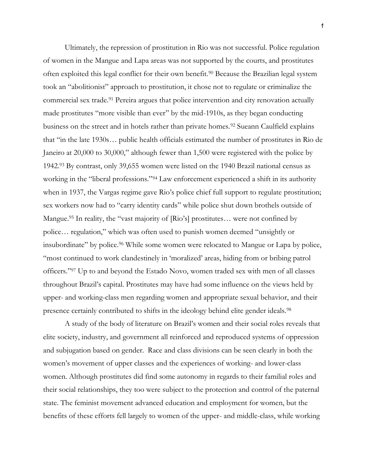Ultimately, the repression of prostitution in Rio was not successful. Police regulation of women in the Mangue and Lapa areas was not supported by the courts, and prostitutes often exploited this legal conflict for their own benefit.<sup>90</sup> Because the Brazilian legal system took an "abolitionist" approach to prostitution, it chose not to regulate or criminalize the commercial sex trade.<sup>91</sup> Pereira argues that police intervention and city renovation actually made prostitutes "more visible than ever" by the mid-1910s, as they began conducting business on the street and in hotels rather than private homes.<sup>92</sup> Sueann Caulfield explains that "in the late 1930s… public health officials estimated the number of prostitutes in Rio de Janeiro at 20,000 to 30,000," although fewer than 1,500 were registered with the police by 1942.<sup>93</sup> By contrast, only 39,655 women were listed on the 1940 Brazil national census as working in the "liberal professions."<sup>94</sup> Law enforcement experienced a shift in its authority when in 1937, the Vargas regime gave Rio's police chief full support to regulate prostitution; sex workers now had to "carry identity cards" while police shut down brothels outside of Mangue.<sup>95</sup> In reality, the "vast majority of [Rio's] prostitutes... were not confined by police… regulation," which was often used to punish women deemed "unsightly or insubordinate" by police.<sup>96</sup> While some women were relocated to Mangue or Lapa by police, "most continued to work clandestinely in 'moralized' areas, hiding from or bribing patrol officers."<sup>97</sup> Up to and beyond the Estado Novo, women traded sex with men of all classes throughout Brazil's capital. Prostitutes may have had some influence on the views held by upper- and working-class men regarding women and appropriate sexual behavior, and their presence certainly contributed to shifts in the ideology behind elite gender ideals.<sup>98</sup>

A study of the body of literature on Brazil's women and their social roles reveals that elite society, industry, and government all reinforced and reproduced systems of oppression and subjugation based on gender. Race and class divisions can be seen clearly in both the women's movement of upper classes and the experiences of working- and lower-class women. Although prostitutes did find some autonomy in regards to their familial roles and their social relationships, they too were subject to the protection and control of the paternal state. The feminist movement advanced education and employment for women, but the benefits of these efforts fell largely to women of the upper- and middle-class, while working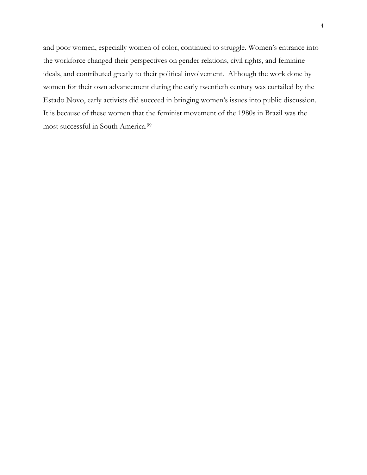and poor women, especially women of color, continued to struggle. Women's entrance into the workforce changed their perspectives on gender relations, civil rights, and feminine ideals, and contributed greatly to their political involvement. Although the work done by women for their own advancement during the early twentieth century was curtailed by the Estado Novo, early activists did succeed in bringing women's issues into public discussion. It is because of these women that the feminist movement of the 1980s in Brazil was the most successful in South America.99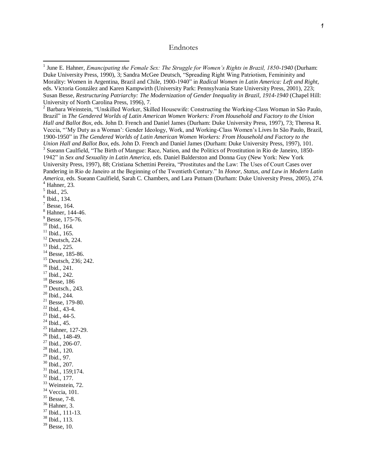## Endnotes

<sup>2</sup> Barbara Weinstein, "Unskilled Worker, Skilled Housewife: Constructing the Working-Class Woman in São Paulo, Brazil" in *The Gendered Worlds of Latin American Women Workers: From Household and Factory to the Union Hall and Ballot Box,* eds. John D. French and Daniel James (Durham: Duke University Press, 1997), 73; Theresa R. Veccia, "'My Duty as a Woman': Gender Ideology, Work, and Working-Class Women's Lives In São Paulo, Brazil, 1900-1950" in *The Gendered Worlds of Latin American Women Workers: From Household and Factory to the Union Hall and Ballot Box,* eds. John D. French and Daniel James (Durham: Duke University Press, 1997), 101. <sup>3</sup> Sueann Caulfield, "The Birth of Mangue: Race, Nation, and the Politics of Prostitution in Rio de Janeiro, 1850-1942" in *Sex and Sexuality in Latin America,* eds. Daniel Balderston and Donna Guy (New York: New York University Press, 1997), 88; Cristiana Schettini Pereira, "Prostitutes and the Law: The Uses of Court Cases over Pandering in Rio de Janeiro at the Beginning of the Twentieth Century." In *Honor, Status, and Law in Modern Latin America,* eds. Sueann Caulfield, Sarah C. Chambers, and Lara Putnam (Durham: Duke University Press, 2005), 274. <sup>4</sup> Hahner, 23*.*

 $<sup>5</sup>$  Ibid., 25.</sup>

6 Ibid., 134.

 $<sup>7</sup>$  Besse, 164.</sup>

<sup>8</sup> Hahner, 144-46.

 $9$  Besse, 175-76.

<sup>10</sup> Ibid., 164.

 $11$  Ibid., 165.

 $12$  Deutsch, 224.

<sup>13</sup> Ibid., 225.

<sup>14</sup> Besse, 185-86.

<sup>15</sup> Deutsch, 236; 242.

<sup>16</sup> Ibid., 241.

<sup>17</sup> Ibid., 242.

<sup>18</sup> Besse, 186

<sup>19</sup> Deutsch., 243.

 $20$  Ibid., 244.

- $21$  Besse, 179-80.
- <sup>22</sup> Ibid., 43-4.
- $23$  Ibid., 44-5.

<sup>24</sup> Ibid., 45.

<sup>25</sup> Hahner, 127-29.

<sup>26</sup> Ibid., 148-49.

<sup>27</sup> Ibid., 206-07.

<sup>28</sup> Ibid., 120.

<sup>29</sup> Ibid., 97.

<sup>30</sup> Ibid., 207.

<sup>31</sup> Ibid., 159;174.

 $32$  Ibid., 177.

 $33$  Weinstein, 72.

<sup>34</sup> Veccia, 101.

<sup>35</sup> Besse, 7-8.

<sup>36</sup> Hahner, 3.

<sup>37</sup> Ibid., 111-13.

<sup>38</sup> Ibid., 113.

 $39$  Besse, 10.

<sup>&</sup>lt;sup>1</sup> June E. Hahner, *Emancipating the Female Sex: The Struggle for Women's Rights in Brazil, 1850-1940* (Durham: Duke University Press, 1990), 3; Sandra McGee Deutsch, "Spreading Right Wing Patriotism, Femininity and Morality: Women in Argentina, Brazil and Chile, 1900-1940" in *Radical Women in Latin America: Left and Right,* eds. Victoria González and Karen Kampwirth (University Park: Pennsylvania State University Press, 2001), 223; Susan Besse, *Restructuring Patriarchy: The Modernization of Gender Inequality in Brazil, 1914-1940* (Chapel Hill: University of North Carolina Press, 1996), 7.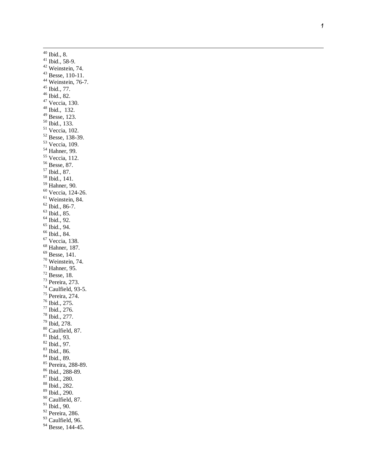Ibid., 8. Ibid., 58-9. Weinstein, 74. Besse, 110-11. <sup>44</sup> Weinstein, 76-7. Ibid., 77. Ibid., 82. Veccia, 130. Ibid., 132. Besse, 123.  $50 \text{ Ibid., } 133.$  Veccia, 102. Besse, 138 -39. <sup>53</sup> Veccia, 109. Hahner, 99. Veccia, 112. Besse, 87. Ibid., 87. Ibid., 141. Hahner, 90. Veccia, 124 -26. Weinstein, 84. Ibid., 86-7. Ibid., 85. Ibid., 92. Ibid., 94. Ibid., 84. Veccia, 138. Hahner, 187. Besse, 141. Weinstein, 74. Hahner, 95. Besse, 18. <sup>73</sup> Pereira, 273. Caulfield, 93-5. <sup>75</sup> Pereira, 274. Ibid., 275. Ibid., 276. Ibid., 277. Ibid, 278. Caulfield, 87. Ibid., 93. Ibid., 97. Ibid., 86. Ibid., 89. <sup>85</sup> Pereira, 288-89. Ibid., 288 -89. Ibid., 280. Ibid., 282. Ibid., 290. Caulfield, 87. Ibid., 90. <sup>92</sup> Pereira, 286. <sup>93</sup> Caulfield, 96. <sup>94</sup> Besse, 144-45.

l